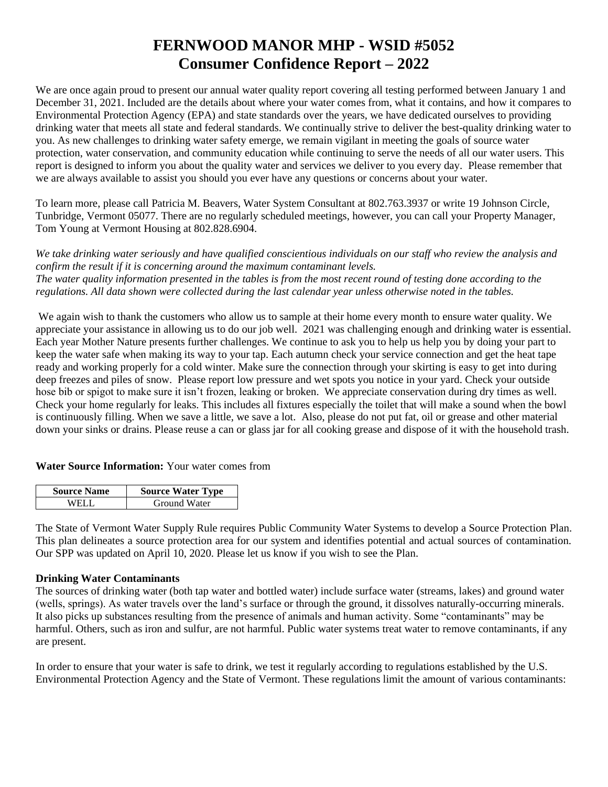# **FERNWOOD MANOR MHP - WSID #5052 Consumer Confidence Report – 2022**

We are once again proud to present our annual water quality report covering all testing performed between January 1 and December 31, 2021. Included are the details about where your water comes from, what it contains, and how it compares to Environmental Protection Agency (EPA) and state standards over the years, we have dedicated ourselves to providing drinking water that meets all state and federal standards. We continually strive to deliver the best-quality drinking water to you. As new challenges to drinking water safety emerge, we remain vigilant in meeting the goals of source water protection, water conservation, and community education while continuing to serve the needs of all our water users. This report is designed to inform you about the quality water and services we deliver to you every day. Please remember that we are always available to assist you should you ever have any questions or concerns about your water.

To learn more, please call Patricia M. Beavers, Water System Consultant at 802.763.3937 or write 19 Johnson Circle, Tunbridge, Vermont 05077. There are no regularly scheduled meetings, however, you can call your Property Manager, Tom Young at Vermont Housing at 802.828.6904.

*We take drinking water seriously and have qualified conscientious individuals on our staff who review the analysis and confirm the result if it is concerning around the maximum contaminant levels. The water quality information presented in the tables is from the most recent round of testing done according to the regulations. All data shown were collected during the last calendar year unless otherwise noted in the tables.* 

We again wish to thank the customers who allow us to sample at their home every month to ensure water quality. We appreciate your assistance in allowing us to do our job well. 2021 was challenging enough and drinking water is essential. Each year Mother Nature presents further challenges. We continue to ask you to help us help you by doing your part to keep the water safe when making its way to your tap. Each autumn check your service connection and get the heat tape ready and working properly for a cold winter. Make sure the connection through your skirting is easy to get into during deep freezes and piles of snow. Please report low pressure and wet spots you notice in your yard. Check your outside hose bib or spigot to make sure it isn't frozen, leaking or broken. We appreciate conservation during dry times as well. Check your home regularly for leaks. This includes all fixtures especially the toilet that will make a sound when the bowl is continuously filling. When we save a little, we save a lot. Also, please do not put fat, oil or grease and other material down your sinks or drains. Please reuse a can or glass jar for all cooking grease and dispose of it with the household trash.

#### **Water Source Information:** Your water comes from

| <b>Source Name</b> | <b>Source Water Type</b> |
|--------------------|--------------------------|
|                    | Ground Water             |

The State of Vermont Water Supply Rule requires Public Community Water Systems to develop a Source Protection Plan. This plan delineates a source protection area for our system and identifies potential and actual sources of contamination. Our SPP was updated on April 10, 2020. Please let us know if you wish to see the Plan.

#### **Drinking Water Contaminants**

The sources of drinking water (both tap water and bottled water) include surface water (streams, lakes) and ground water (wells, springs). As water travels over the land's surface or through the ground, it dissolves naturally-occurring minerals. It also picks up substances resulting from the presence of animals and human activity. Some "contaminants" may be harmful. Others, such as iron and sulfur, are not harmful. Public water systems treat water to remove contaminants, if any are present.

In order to ensure that your water is safe to drink, we test it regularly according to regulations established by the U.S. Environmental Protection Agency and the State of Vermont. These regulations limit the amount of various contaminants: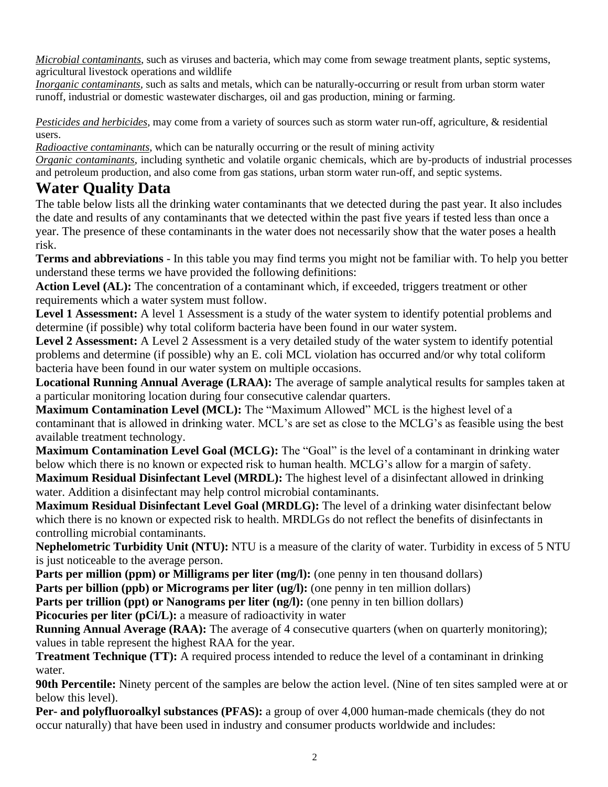*Microbial contaminants*, such as viruses and bacteria, which may come from sewage treatment plants, septic systems, agricultural livestock operations and wildlife

*Inorganic contaminants*, such as salts and metals, which can be naturally-occurring or result from urban storm water runoff, industrial or domestic wastewater discharges, oil and gas production, mining or farming.

*Pesticides and herbicides*, may come from a variety of sources such as storm water run-off, agriculture, & residential users.

*Radioactive contaminants*, which can be naturally occurring or the result of mining activity

*Organic contaminants*, including synthetic and volatile organic chemicals, which are by-products of industrial processes and petroleum production, and also come from gas stations, urban storm water run-off, and septic systems.

## **Water Quality Data**

The table below lists all the drinking water contaminants that we detected during the past year. It also includes the date and results of any contaminants that we detected within the past five years if tested less than once a year. The presence of these contaminants in the water does not necessarily show that the water poses a health risk.

**Terms and abbreviations** - In this table you may find terms you might not be familiar with. To help you better understand these terms we have provided the following definitions:

**Action Level (AL):** The concentration of a contaminant which, if exceeded, triggers treatment or other requirements which a water system must follow.

Level 1 Assessment: A level 1 Assessment is a study of the water system to identify potential problems and determine (if possible) why total coliform bacteria have been found in our water system.

**Level 2 Assessment:** A Level 2 Assessment is a very detailed study of the water system to identify potential problems and determine (if possible) why an E. coli MCL violation has occurred and/or why total coliform bacteria have been found in our water system on multiple occasions.

**Locational Running Annual Average (LRAA):** The average of sample analytical results for samples taken at a particular monitoring location during four consecutive calendar quarters.

**Maximum Contamination Level (MCL):** The "Maximum Allowed" MCL is the highest level of a contaminant that is allowed in drinking water. MCL's are set as close to the MCLG's as feasible using the best available treatment technology.

**Maximum Contamination Level Goal (MCLG):** The "Goal" is the level of a contaminant in drinking water below which there is no known or expected risk to human health. MCLG's allow for a margin of safety. **Maximum Residual Disinfectant Level (MRDL):** The highest level of a disinfectant allowed in drinking water. Addition a disinfectant may help control microbial contaminants.

**Maximum Residual Disinfectant Level Goal (MRDLG):** The level of a drinking water disinfectant below which there is no known or expected risk to health. MRDLGs do not reflect the benefits of disinfectants in controlling microbial contaminants.

**Nephelometric Turbidity Unit (NTU):** NTU is a measure of the clarity of water. Turbidity in excess of 5 NTU is just noticeable to the average person.

**Parts per million (ppm) or Milligrams per liter (mg/l):** (one penny in ten thousand dollars)

**Parts per billion (ppb) or Micrograms per liter (ug/l):** (one penny in ten million dollars)

**Parts per trillion (ppt) or Nanograms per liter (ng/l):** (one penny in ten billion dollars)

**Picocuries per liter (pCi/L):** a measure of radioactivity in water

**Running Annual Average (RAA):** The average of 4 consecutive quarters (when on quarterly monitoring); values in table represent the highest RAA for the year.

**Treatment Technique (TT):** A required process intended to reduce the level of a contaminant in drinking water.

**90th Percentile:** Ninety percent of the samples are below the action level. (Nine of ten sites sampled were at or below this level).

**Per- and polyfluoroalkyl substances (PFAS):** a group of over 4,000 human-made chemicals (they do not occur naturally) that have been used in industry and consumer products worldwide and includes: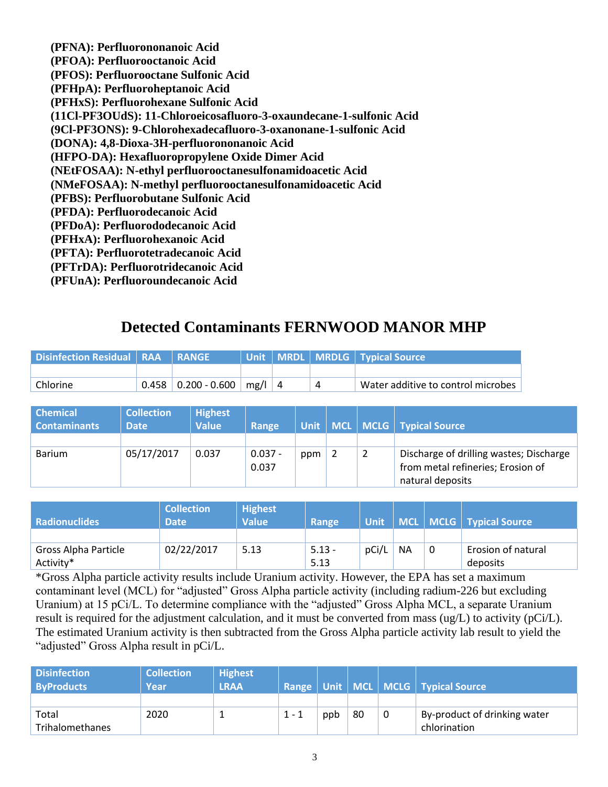**(PFNA): Perfluorononanoic Acid (PFOA): Perfluorooctanoic Acid (PFOS): Perfluorooctane Sulfonic Acid (PFHpA): Perfluoroheptanoic Acid (PFHxS): Perfluorohexane Sulfonic Acid (11Cl-PF3OUdS): 11-Chloroeicosafluoro-3-oxaundecane-1-sulfonic Acid (9Cl-PF3ONS): 9-Chlorohexadecafluoro-3-oxanonane-1-sulfonic Acid (DONA): 4,8-Dioxa-3H-perfluorononanoic Acid (HFPO-DA): Hexafluoropropylene Oxide Dimer Acid (NEtFOSAA): N-ethyl perfluorooctanesulfonamidoacetic Acid (NMeFOSAA): N-methyl perfluorooctanesulfonamidoacetic Acid (PFBS): Perfluorobutane Sulfonic Acid (PFDA): Perfluorodecanoic Acid (PFDoA): Perfluorododecanoic Acid (PFHxA): Perfluorohexanoic Acid (PFTA): Perfluorotetradecanoic Acid (PFTrDA): Perfluorotridecanoic Acid (PFUnA): Perfluoroundecanoic Acid**

### **Detected Contaminants FERNWOOD MANOR MHP**

| <b>Disinfection Residual   RAA   RANGE  </b> |                         |      |    |   | Unit   MRDL   MRDLG   Typical Source |
|----------------------------------------------|-------------------------|------|----|---|--------------------------------------|
|                                              |                         |      |    |   |                                      |
| Chlorine                                     | $0.458$   0.200 - 0.600 | mg/l | -4 | 4 | Water additive to control microbes   |

| <b>Chemical</b><br><b>Contaminants</b> | <b>Collection</b><br><b>Date</b> | <b>Highest</b><br><b>Value</b> | Range              | <b>Unit</b> |  | MCL   MCLG   Typical Source                                                  |
|----------------------------------------|----------------------------------|--------------------------------|--------------------|-------------|--|------------------------------------------------------------------------------|
|                                        |                                  |                                |                    |             |  |                                                                              |
| <b>Barium</b>                          | 05/17/2017                       | 0.037                          | $0.037 -$<br>0.037 | ppm         |  | Discharge of drilling wastes; Discharge<br>from metal refineries; Erosion of |
|                                        |                                  |                                |                    |             |  | natural deposits                                                             |

|                             | <b>Collection</b> | Highest |          |       |           |                                    |
|-----------------------------|-------------------|---------|----------|-------|-----------|------------------------------------|
| <b>Radionuclides</b>        | <b>Date</b>       | Value   | Range    |       |           | Unit   MCL   MCLG   Typical Source |
|                             |                   |         |          |       |           |                                    |
| <b>Gross Alpha Particle</b> | 02/22/2017        | 5.13    | $5.13 -$ | pCi/L | <b>NA</b> | Erosion of natural                 |
| Activity*                   |                   |         | 5.13     |       |           | deposits                           |

\*Gross Alpha particle activity results include Uranium activity. However, the EPA has set a maximum contaminant level (MCL) for "adjusted" Gross Alpha particle activity (including radium-226 but excluding Uranium) at 15 pCi/L. To determine compliance with the "adjusted" Gross Alpha MCL, a separate Uranium result is required for the adjustment calculation, and it must be converted from mass (ug/L) to activity (pCi/L). The estimated Uranium activity is then subtracted from the Gross Alpha particle activity lab result to yield the "adjusted" Gross Alpha result in pCi/L.

| <b>Disinfection</b><br><b>ByProducts</b> | <b>Collection</b><br>Year | <b>Highest</b><br>LRAA |         |     |    |   | Range   Unit   MCL   MCLG   Typical Source |
|------------------------------------------|---------------------------|------------------------|---------|-----|----|---|--------------------------------------------|
|                                          |                           |                        |         |     |    |   |                                            |
| Total                                    | 2020                      |                        | $1 - 1$ | ppb | 80 | 0 | By-product of drinking water               |
| Trihalomethanes                          |                           |                        |         |     |    |   | chlorination                               |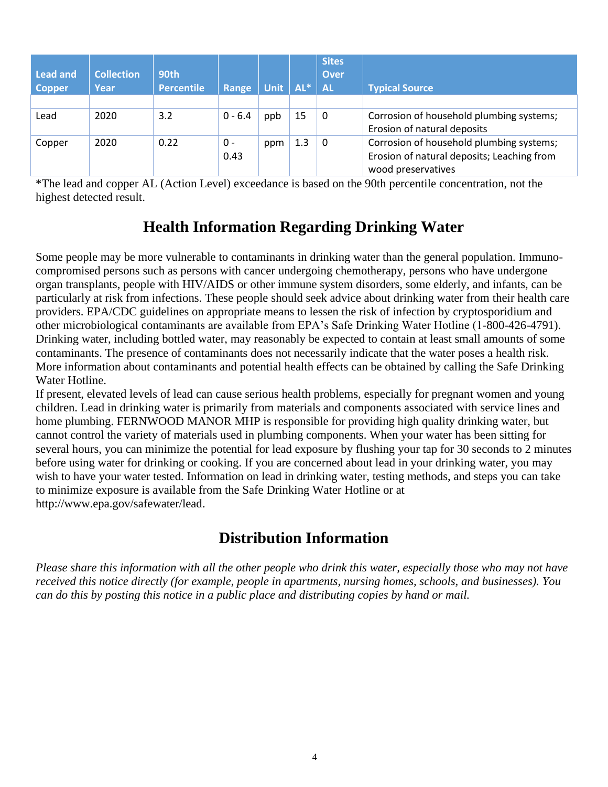| <b>Lead and</b><br><b>Copper</b> | <b>Collection</b><br>Year | 90th<br><b>Percentile</b> | Range       | Unit $\vert$ AL* |     | <b>Sites</b><br><b>Over</b><br><b>AL</b> | <b>Typical Source</b>                                                                                                                       |
|----------------------------------|---------------------------|---------------------------|-------------|------------------|-----|------------------------------------------|---------------------------------------------------------------------------------------------------------------------------------------------|
| Lead                             | 2020                      | 3.2                       | $0 - 6.4$   | ppb              | 15  | 0                                        | Corrosion of household plumbing systems;                                                                                                    |
| Copper                           | 2020                      | 0.22                      | 0 -<br>0.43 | ppm              | 1.3 | 0                                        | Erosion of natural deposits<br>Corrosion of household plumbing systems;<br>Erosion of natural deposits; Leaching from<br>wood preservatives |

\*The lead and copper AL (Action Level) exceedance is based on the 90th percentile concentration, not the highest detected result.

# **Health Information Regarding Drinking Water**

Some people may be more vulnerable to contaminants in drinking water than the general population. Immunocompromised persons such as persons with cancer undergoing chemotherapy, persons who have undergone organ transplants, people with HIV/AIDS or other immune system disorders, some elderly, and infants, can be particularly at risk from infections. These people should seek advice about drinking water from their health care providers. EPA/CDC guidelines on appropriate means to lessen the risk of infection by cryptosporidium and other microbiological contaminants are available from EPA's Safe Drinking Water Hotline (1-800-426-4791). Drinking water, including bottled water, may reasonably be expected to contain at least small amounts of some contaminants. The presence of contaminants does not necessarily indicate that the water poses a health risk. More information about contaminants and potential health effects can be obtained by calling the Safe Drinking Water Hotline.

If present, elevated levels of lead can cause serious health problems, especially for pregnant women and young children. Lead in drinking water is primarily from materials and components associated with service lines and home plumbing. FERNWOOD MANOR MHP is responsible for providing high quality drinking water, but cannot control the variety of materials used in plumbing components. When your water has been sitting for several hours, you can minimize the potential for lead exposure by flushing your tap for 30 seconds to 2 minutes before using water for drinking or cooking. If you are concerned about lead in your drinking water, you may wish to have your water tested. Information on lead in drinking water, testing methods, and steps you can take to minimize exposure is available from the Safe Drinking Water Hotline or at [http://www.epa.gov/safewater/lead.](http://www.epa.gov/safewater/lead)

# **Distribution Information**

*Please share this information with all the other people who drink this water, especially those who may not have received this notice directly (for example, people in apartments, nursing homes, schools, and businesses). You can do this by posting this notice in a public place and distributing copies by hand or mail.*